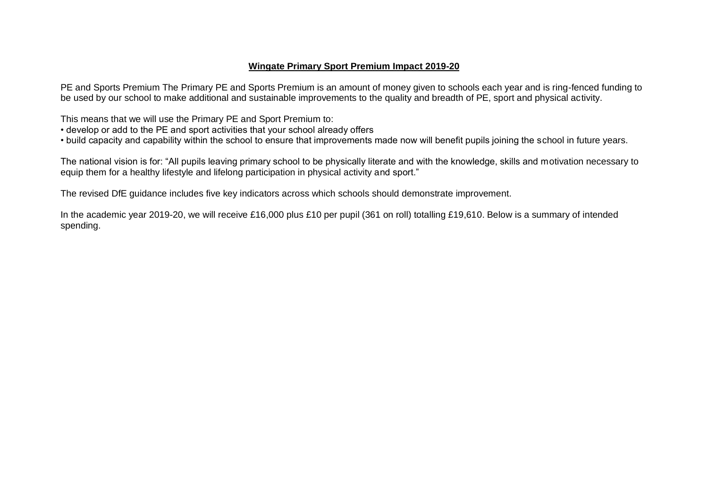## **Wingate Primary Sport Premium Impact 2019-20**

PE and Sports Premium The Primary PE and Sports Premium is an amount of money given to schools each year and is ring-fenced funding to be used by our school to make additional and sustainable improvements to the quality and breadth of PE, sport and physical activity.

This means that we will use the Primary PE and Sport Premium to:

- develop or add to the PE and sport activities that your school already offers
- build capacity and capability within the school to ensure that improvements made now will benefit pupils joining the school in future years.

The national vision is for: "All pupils leaving primary school to be physically literate and with the knowledge, skills and motivation necessary to equip them for a healthy lifestyle and lifelong participation in physical activity and sport."

The revised DfE guidance includes five key indicators across which schools should demonstrate improvement.

In the academic year 2019-20, we will receive £16,000 plus £10 per pupil (361 on roll) totalling £19,610. Below is a summary of intended spending.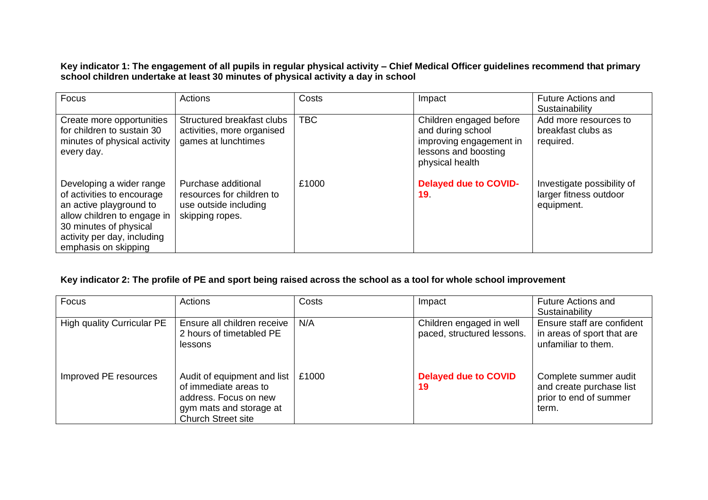**Key indicator 1: The engagement of all pupils in regular physical activity – Chief Medical Officer guidelines recommend that primary school children undertake at least 30 minutes of physical activity a day in school**

| Focus                                                                                                                                                                                             | Actions                                                                                      | Costs      | Impact                                                                                                             | <b>Future Actions and</b><br>Sustainability                        |
|---------------------------------------------------------------------------------------------------------------------------------------------------------------------------------------------------|----------------------------------------------------------------------------------------------|------------|--------------------------------------------------------------------------------------------------------------------|--------------------------------------------------------------------|
| Create more opportunities<br>for children to sustain 30<br>minutes of physical activity<br>every day.                                                                                             | Structured breakfast clubs<br>activities, more organised<br>games at lunchtimes              | <b>TBC</b> | Children engaged before<br>and during school<br>improving engagement in<br>lessons and boosting<br>physical health | Add more resources to<br>breakfast clubs as<br>required.           |
| Developing a wider range<br>of activities to encourage<br>an active playground to<br>allow children to engage in<br>30 minutes of physical<br>activity per day, including<br>emphasis on skipping | Purchase additional<br>resources for children to<br>use outside including<br>skipping ropes. | £1000      | <b>Delayed due to COVID-</b><br>19 <sub>1</sub>                                                                    | Investigate possibility of<br>larger fitness outdoor<br>equipment. |

## **Key indicator 2: The profile of PE and sport being raised across the school as a tool for whole school improvement**

| Focus                             | Actions                                                                                                                               | Costs | Impact                                                 | <b>Future Actions and</b><br>Sustainability                                          |
|-----------------------------------|---------------------------------------------------------------------------------------------------------------------------------------|-------|--------------------------------------------------------|--------------------------------------------------------------------------------------|
| <b>High quality Curricular PE</b> | Ensure all children receive<br>2 hours of timetabled PE<br>lessons                                                                    | N/A   | Children engaged in well<br>paced, structured lessons. | Ensure staff are confident<br>in areas of sport that are<br>unfamiliar to them.      |
| Improved PE resources             | Audit of equipment and list<br>of immediate areas to<br>address. Focus on new<br>gym mats and storage at<br><b>Church Street site</b> | £1000 | <b>Delayed due to COVID</b><br>19                      | Complete summer audit<br>and create purchase list<br>prior to end of summer<br>term. |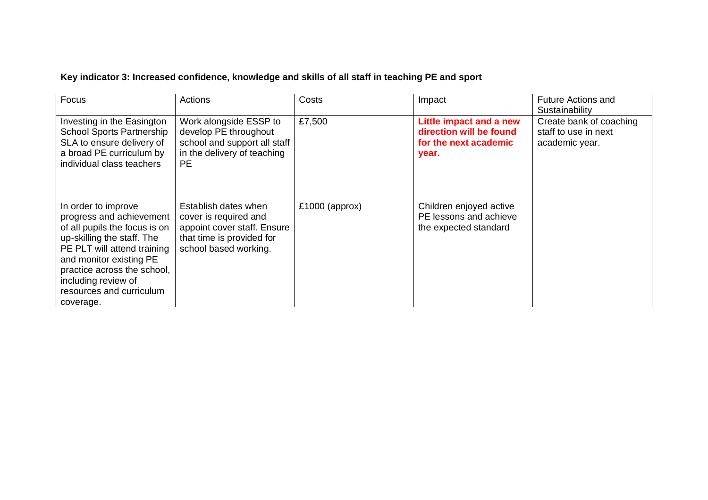## **Key indicator 3: Increased confidence, knowledge and skills of all staff in teaching PE and sport**

| Focus                                                                                                                                                                                                                                                                   | Actions                                                                                                                            | Costs            | Impact                                                                               | <b>Future Actions and</b><br>Sustainability                       |
|-------------------------------------------------------------------------------------------------------------------------------------------------------------------------------------------------------------------------------------------------------------------------|------------------------------------------------------------------------------------------------------------------------------------|------------------|--------------------------------------------------------------------------------------|-------------------------------------------------------------------|
| Investing in the Easington<br><b>School Sports Partnership</b><br>SLA to ensure delivery of<br>a broad PE curriculum by<br>individual class teachers                                                                                                                    | Work alongside ESSP to<br>develop PE throughout<br>school and support all staff<br>in the delivery of teaching<br><b>PE</b>        | £7,500           | Little impact and a new<br>direction will be found<br>for the next academic<br>year. | Create bank of coaching<br>staff to use in next<br>academic year. |
| In order to improve<br>progress and achievement<br>of all pupils the focus is on<br>up-skilling the staff. The<br>PE PLT will attend training<br>and monitor existing PE<br>practice across the school,<br>including review of<br>resources and curriculum<br>coverage. | Establish dates when<br>cover is required and<br>appoint cover staff. Ensure<br>that time is provided for<br>school based working. | $£1000$ (approx) | Children enjoyed active<br>PE lessons and achieve<br>the expected standard           |                                                                   |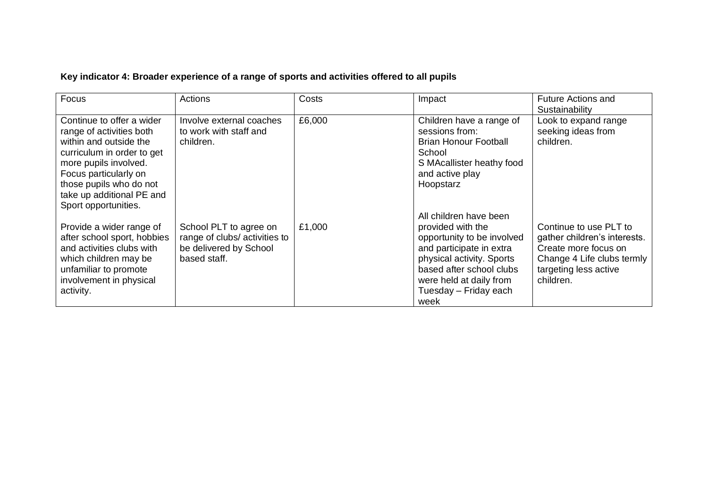## **Key indicator 4: Broader experience of a range of sports and activities offered to all pupils**

| Focus                                                                                                                                                                                                                                           | Actions                                                                                           | Costs  | Impact                                                                                                                                                                                                                     | <b>Future Actions and</b><br>Sustainability                                                                                                        |
|-------------------------------------------------------------------------------------------------------------------------------------------------------------------------------------------------------------------------------------------------|---------------------------------------------------------------------------------------------------|--------|----------------------------------------------------------------------------------------------------------------------------------------------------------------------------------------------------------------------------|----------------------------------------------------------------------------------------------------------------------------------------------------|
| Continue to offer a wider<br>range of activities both<br>within and outside the<br>curriculum in order to get<br>more pupils involved.<br>Focus particularly on<br>those pupils who do not<br>take up additional PE and<br>Sport opportunities. | Involve external coaches<br>to work with staff and<br>children.                                   | £6,000 | Children have a range of<br>sessions from:<br><b>Brian Honour Football</b><br>School<br>S MAcallister heathy food<br>and active play<br>Hoopstarz                                                                          | Look to expand range<br>seeking ideas from<br>children.                                                                                            |
| Provide a wider range of<br>after school sport, hobbies<br>and activities clubs with<br>which children may be<br>unfamiliar to promote<br>involvement in physical<br>activity.                                                                  | School PLT to agree on<br>range of clubs/ activities to<br>be delivered by School<br>based staff. | £1,000 | All children have been<br>provided with the<br>opportunity to be involved<br>and participate in extra<br>physical activity. Sports<br>based after school clubs<br>were held at daily from<br>Tuesday - Friday each<br>week | Continue to use PLT to<br>gather children's interests.<br>Create more focus on<br>Change 4 Life clubs termly<br>targeting less active<br>children. |